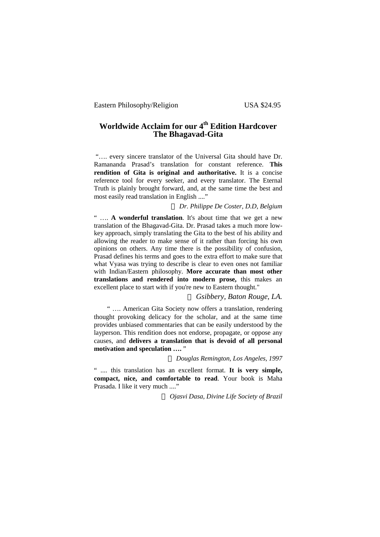Eastern Philosophy/Religion USA \$24.95

## **Worldwide Acclaim for our 4 th Edition Hardcover The Bhagavad-Gita**

"…. every sincere translator of the Universal Gita should have Dr. Ramananda Prasad's translation for constant reference. **This rendition of Gita is original and authoritative.** It is a concise reference tool for every seeker, and every translator. The Eternal Truth is plainly brought forward, and, at the same time the best and most easily read translation in English ...."

*Dr. Philippe De Coster, D.D, Belgium*

" …. **A wonderful translation**. It's about time that we get a new translation of the Bhagavad-Gita. Dr. Prasad takes a much more lowkey approach, simply translating the Gita to the best of his ability and allowing the reader to make sense of it rather than forcing his own opinions on others. Any time there is the possibility of confusion, Prasad defines his terms and goes to the extra effort to make sure that what Vyasa was trying to describe is clear to even ones not familiar with Indian/Eastern philosophy. **More accurate than most other translations and rendered into modern prose,** this makes an excellent place to start with if you're new to Eastern thought."

*Gsibbery, Baton Rouge, LA.*

" …. American Gita Society now offers a translation, rendering thought provoking delicacy for the scholar, and at the same time provides unbiased commentaries that can be easily understood by the layperson. This rendition does not endorse, propagate, or oppose any causes, and **delivers a translation that is devoid of all personal motivation and speculation ….** "

*Douglas Remington, Los Angeles, 1997*

" .... this translation has an excellent format. **It is very simple, compact, nice, and comfortable to read**. Your book is Maha Prasada. I like it very much ...."

*Ojasvi Dasa, Divine Life Society of Brazil*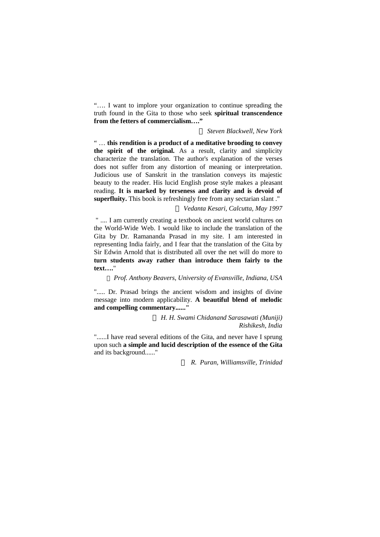"…. I want to implore your organization to continue spreading the truth found in the Gita to those who seek **spiritual transcendence from the fetters of commercialism…."**

*Steven Blackwell, New York*

" … **this rendition is a product of a meditative brooding to convey the spirit of the original.** As a result, clarity and simplicity characterize the translation. The author's explanation of the verses does not suffer from any distortion of meaning or interpretation. Judicious use of Sanskrit in the translation conveys its majestic beauty to the reader. His lucid English prose style makes a pleasant reading. **It is marked by terseness and clarity and is devoid of** superfluity. This book is refreshingly free from any sectarian slant."

*Vedanta Kesari, Calcutta, May 1997*

" .... I am currently creating a textbook on ancient world cultures on the World-Wide Web. I would like to include the translation of the Gita by Dr. Ramananda Prasad in my site. I am interested in representing India fairly, and I fear that the translation of the Gita by Sir Edwin Arnold that is distributed all over the net will do more to **turn students away rather than introduce them fairly to the text….**"

*Prof. Anthony Beavers, University of Evansville, Indiana, USA*

"..... Dr. Prasad brings the ancient wisdom and insights of divine message into modern applicability. **A beautiful blend of melodic and compelling commentary......"**

> *H. H. Swami Chidanand Sarasawati (Muniji) Rishikesh, India*

"......I have read several editions of the Gita, and never have I sprung upon such **a simple and lucid description of the essence of the Gita** and its background......"

*R. Puran, Williamsville, Trinidad*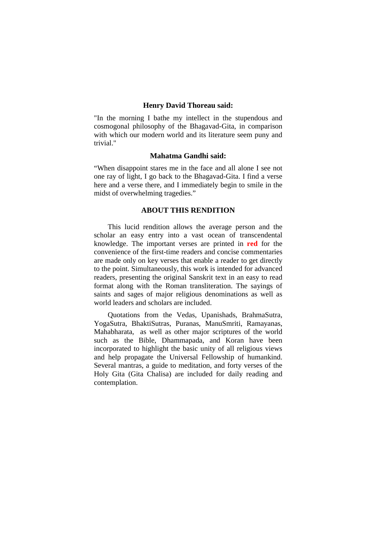#### **Henry David Thoreau said:**

"In the morning I bathe my intellect in the stupendous and cosmogonal philosophy of the Bhagavad-Gita, in comparison with which our modern world and its literature seem puny and trivial."

#### **Mahatma Gandhi said:**

"When disappoint stares me in the face and all alone I see not one ray of light, I go back to the Bhagavad-Gita. I find a verse here and a verse there, and I immediately begin to smile in the midst of overwhelming tragedies."

#### **ABOUT THIS RENDITION**

This lucid rendition allows the average person and the scholar an easy entry into a vast ocean of transcendental knowledge. The important verses are printed in **red** for the convenience of the first-time readers and concise commentaries are made only on key verses that enable a reader to get directly to the point. Simultaneously, this work is intended for advanced readers, presenting the original Sanskrit text in an easy to read format along with the Roman transliteration. The sayings of saints and sages of major religious denominations as well as world leaders and scholars are included.

Quotations from the Vedas, Upanishads, BrahmaSutra, YogaSutra, BhaktiSutras, Puranas, ManuSmriti, Ramayanas, Mahabharata, as well as other major scriptures of the world such as the Bible, Dhammapada, and Koran have been incorporated to highlight the basic unity of all religious views and help propagate the Universal Fellowship of humankind. Several mantras, a guide to meditation, and forty verses of the Holy Gita (Gita Chalisa) are included for daily reading and contemplation.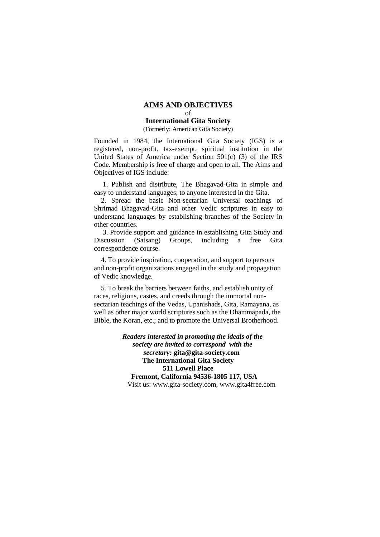### **AIMS AND OBJECTIVES**  $\alpha$ f

# **International Gita Society**

(Formerly: American Gita Society)

Founded in 1984, the International Gita Society (IGS) is a registered, non-profit, tax-exempt, spiritual institution in the United States of America under Section 501(c) (3) of the IRS Code. Membership is free of charge and open to all. The Aims and Objectives of IGS include:

1. Publish and distribute, The Bhagavad-Gita in simple and easy to understand languages, to anyone interested in the Gita.

2. Spread the basic Non-sectarian Universal teachings of Shrimad Bhagavad-Gita and other Vedic scriptures in easy to understand languages by establishing branches of the Society in other countries.

3. Provide support and guidance in establishing Gita Study and Discussion (Satsang) Groups, including a free Gita correspondence course.

4. To provide inspiration, cooperation, and support to persons and non-profit organizations engaged in the study and propagation of Vedic knowledge.

5. To break the barriers between faiths, and establish unity of races, religions, castes, and creeds through the immortal nonsectarian teachings of the Vedas, Upanishads, Gita, Ramayana, as well as other major world scriptures such as the Dhammapada, the Bible, the Koran, etc.; and to promote the Universal Brotherhood.

> *Readers interested in promoting the ideals of the society are invited to correspond with the secretary:* **[gita@gita-society.com](mailto:gita@gita-society.com) The International Gita Society 511 Lowell Place Fremont, California 94536-1805 117, USA** Visit us: [www.gita-society.com](http://www.gita-society.com), [www.gita4free.com](http://www.gita4free.com)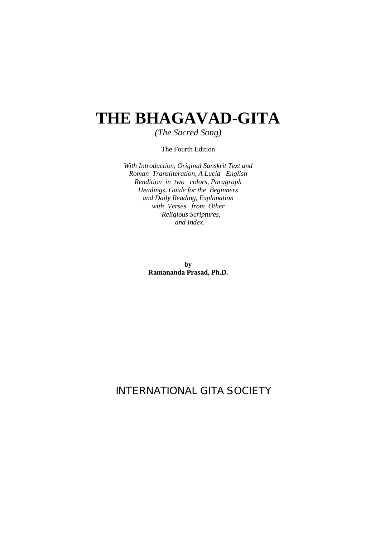# **THE BHAGAVAD-GITA**

*(The Sacred Song)*

The Fourth Edition

*With Introduction, Original Sanskrit Text and Roman Transliteration, A Lucid English Rendition in two colors, Paragraph Headings, Guide for the Beginners and Daily Reading, Explanation with Verses from Other Religious Scriptures, and Index.*

> **by Ramananda Prasad, Ph.D.**

INTERNATIONAL GITA SOCIETY